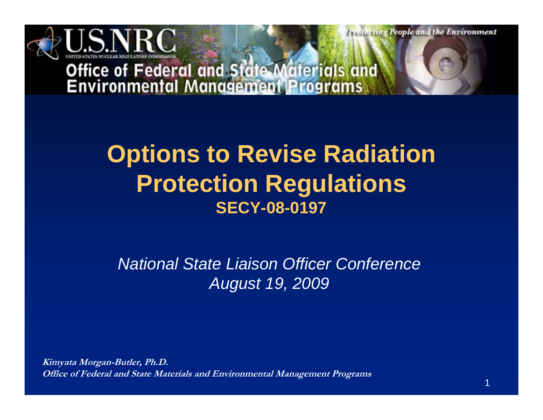

**Profecting People and the Environment** 

# **Office of Federal and State Materials and<br>Environmental Management Programs**

#### **Options to Revise Radiation Protection Regulations SECY-08-0197**

#### *National State Liaison Officer Conference August 19, 2009*

**Kimyata Morgan-Butler, Ph.D. Office of Federal and State Materials and Environmental Management Programs**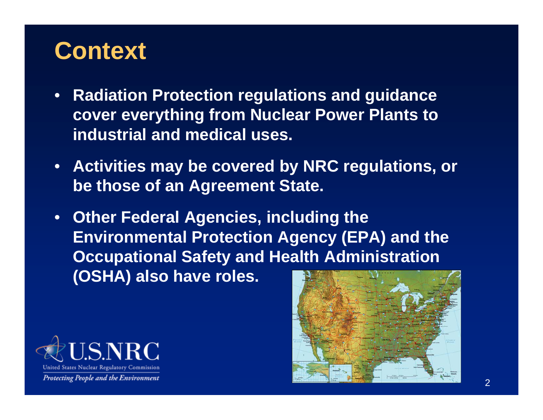#### **Context**

- **Radiation Protection regulations and guidance cover everything from Nuclear Power Plants to industrial and medical uses.**
- **Activities may be covered by NRC regulations, or be those of an Agreement State.**
- **Other Federal Agencies, including the Environmental Protection Agency (EPA) and the Occupational Safety and Health Administration (OSHA) also have roles.**



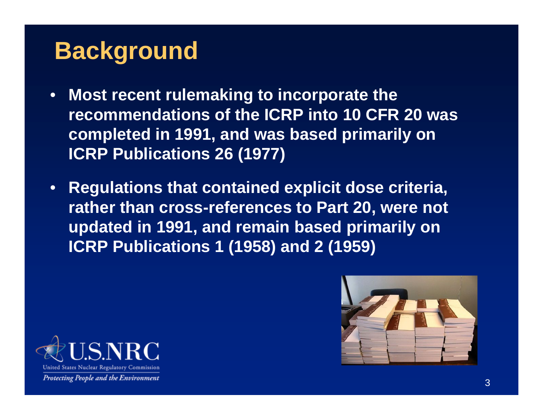# **Background**

- **Most recent rulemaking to incorporate the recommendations of the ICRP into 10 CFR 20 was completed in 1991, and was based primarily on ICRP Publications 26 (1977)**
- **Regulations that contained explicit dose criteria, rather than cross-references to Part 20, were not updated in 1991, and remain based primarily on ICRP Publications 1 (1958) and 2 (1959)**



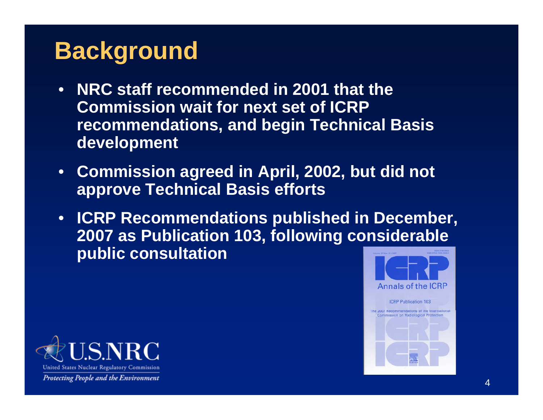# **Background**

- **NRC staff recommended in 2001 that the Commission wait for next set of ICRP recommendations, and begin Technical Basis development**
- **Commission agreed in April, 2002, but did not approve Technical Basis efforts**
- **ICRP Recommendations published in December, 2007 as Publication 103, following considerable public consultation**



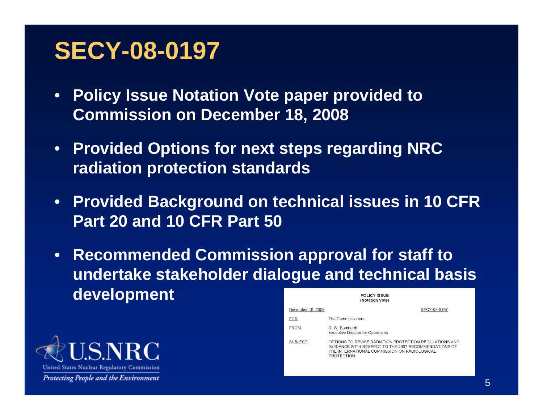#### **SECY-08-0197**

- **Policy Issue Notation Vote paper provided to Commission on December 18, 2008**
- **Provided Options for next steps regarding NRC radiation protection standards**
- **Provided Background on technical issues in 10 CFR Part 20 and 10 CFR Part 50**
- **Recommended Commission approval for staff to undertake stakeholder dialogue and technical basis developmentPOLICY ISSUE**  $(Mathation What)$



| ,,,,,,,,,,,,,,,,, |                   |                                                                                                                                                                                     |  |
|-------------------|-------------------|-------------------------------------------------------------------------------------------------------------------------------------------------------------------------------------|--|
|                   | December 18, 2008 | SECY-08-0197                                                                                                                                                                        |  |
|                   | FOR:              | The Commissioners                                                                                                                                                                   |  |
|                   | FROM:             | R. W. Borchardt<br><b>Executive Director for Operations</b>                                                                                                                         |  |
|                   | SUBJECT:          | OPTIONS TO REVISE RADIATION PROTECTION REGULATIONS AND<br>GUIDANCE WITH RESPECT TO THE 2007 RECOMMENDATIONS OF<br>THE INTERNATIONAL COMMISSION ON RADIOLOGICAL<br><b>PROTECTION</b> |  |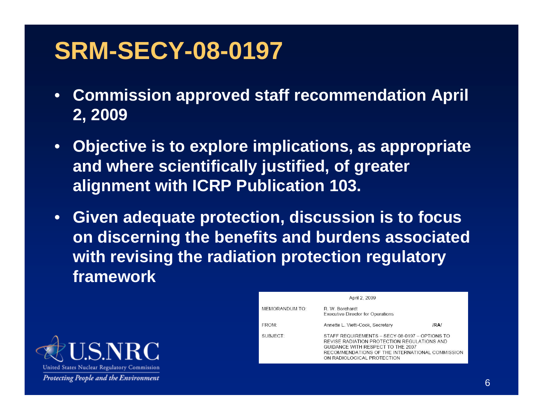#### **SRM-SECY-08-0197**

- **Commission approved staff recommendation April 2, 2009**
- **Objective is to explore implications, as appropriate and where scientifically justified, of greater alignment with ICRP Publication 103.**
- **Given adequate protection, discussion is to focus on discerning the benefits and burdens associated with revising the radiation protection regulatory framework**



|                       | April 2, 2009                                                                                                                                                                                                       |      |
|-----------------------|---------------------------------------------------------------------------------------------------------------------------------------------------------------------------------------------------------------------|------|
| <b>MEMORANDUM TO:</b> | R. W. Borchardt<br><b>Executive Director for Operations</b>                                                                                                                                                         |      |
| FROM:                 | Annette L. Vietti-Cook, Secretary                                                                                                                                                                                   | /RA/ |
| SUBJECT:              | STAFF REQUIREMENTS - SECY-08-0197 - OPTIONS TO<br>REVISE RADIATION PROTECTION REGULATIONS AND<br>GUIDANCE WITH RESPECT TO THE 2007<br>RECOMMENDATIONS OF THE INTERNATIONAL COMMISSION<br>ON RADIOLOGICAL PROTECTION |      |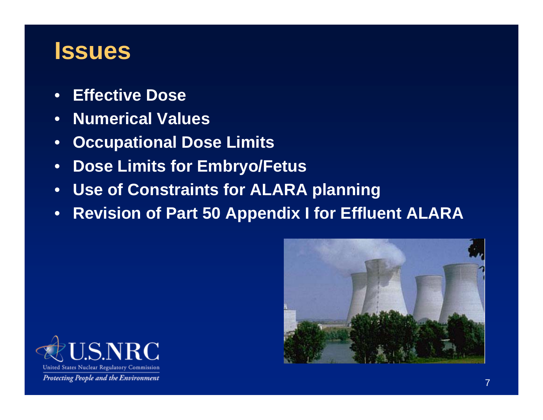#### **Issues**

- **Effective Dose**
- **Numerical Values**
- **Occupational Dose Limits**
- **Dose Limits for Embryo/Fetus**
- **Use of Constraints for ALARA planning**
- **Revision of Part 50 Appendix I for Effluent ALARA**



![](_page_6_Picture_8.jpeg)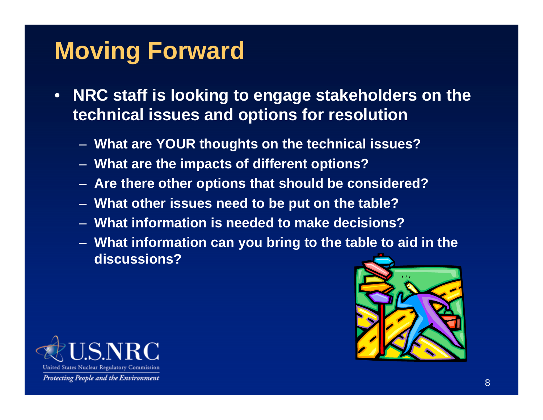# **Moving Forward**

- **NRC staff is looking to engage stakeholders on the technical issues and options for resolution**
	- **What are YOUR thoughts on the technical issues?**
	- **What are the impacts of different options?**
	- **Are there other options that should be considered?**
	- **What other issues need to be put on the table?**
	- **What information is needed to make decisions?**
	- **What information can you bring to the table to aid in the discussions?**

![](_page_7_Picture_8.jpeg)

![](_page_7_Picture_9.jpeg)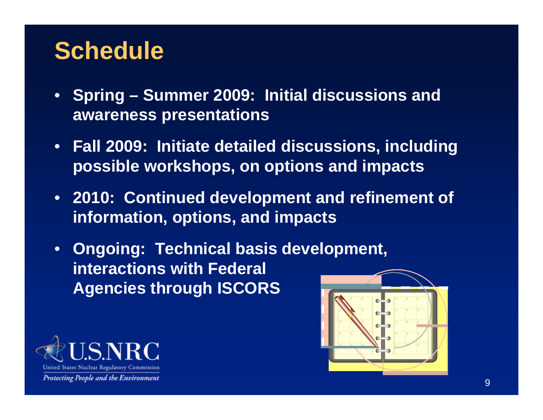### **Schedule**

- **Spring Summer 2009: Initial discussions and awareness presentations**
- **Fall 2009: Initiate detailed discussions, including possible workshops, on options and impacts**
- **2010: Continued development and refinement of information, options, and impacts**
- **Ongoing: Technical basis development, interactions with Federal Agencies through ISCORS**

![](_page_8_Picture_5.jpeg)

![](_page_8_Figure_6.jpeg)